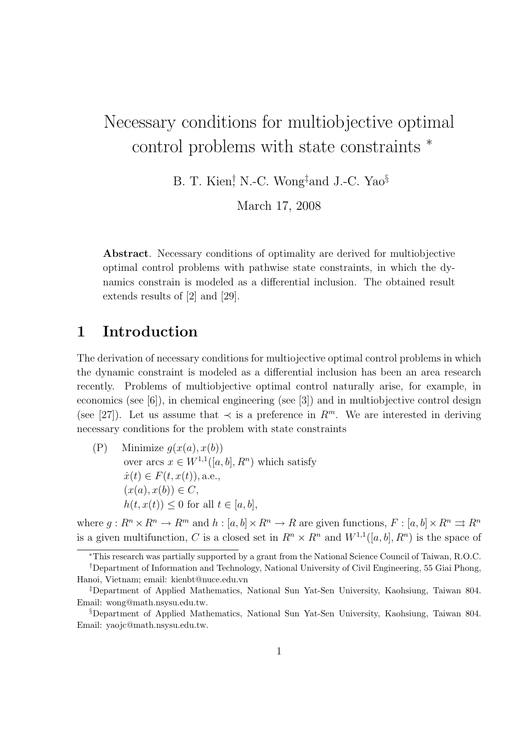# Necessary conditions for multiobjective optimal control problems with state constraints <sup>∗</sup>

B. T. Kien<sup>†</sup>, N.-C. Wong<sup>‡</sup>and J.-C. Yao<sup>§</sup>

March 17, 2008

Abstract. Necessary conditions of optimality are derived for multiobjective optimal control problems with pathwise state constraints, in which the dynamics constrain is modeled as a differential inclusion. The obtained result extends results of [2] and [29].

## 1 Introduction

The derivation of necessary conditions for multiojective optimal control problems in which the dynamic constraint is modeled as a differential inclusion has been an area research recently. Problems of multiobjective optimal control naturally arise, for example, in economics (see  $[6]$ ), in chemical engineering (see  $[3]$ ) and in multiobjective control design (see [27]). Let us assume that  $\prec$  is a preference in  $\mathbb{R}^m$ . We are interested in deriving necessary conditions for the problem with state constraints

(P) Minimize  $g(x(a), x(b))$ over arcs  $x \in W^{1,1}([a, b], R^n)$  which satisfy  $\dot{x}(t) \in F(t, x(t))$ , a.e.,  $(x(a), x(b)) \in C$ ,  $h(t, x(t)) \leq 0$  for all  $t \in [a, b]$ ,

where  $q: R^n \times R^n \to R^m$  and  $h: [a, b] \times R^n \to R$  are given functions,  $F: [a, b] \times R^n \rightrightarrows R^n$ is a given multifunction, C is a closed set in  $R^n \times R^n$  and  $W^{1,1}([a, b], R^n)$  is the space of

<sup>∗</sup>This research was partially supported by a grant from the National Science Council of Taiwan, R.O.C.

<sup>†</sup>Department of Information and Technology, National University of Civil Engineering, 55 Giai Phong, Hanoi, Vietnam; email: kienbt@nuce.edu.vn

<sup>‡</sup>Department of Applied Mathematics, National Sun Yat-Sen University, Kaohsiung, Taiwan 804. Email: wong@math.nsysu.edu.tw.

<sup>§</sup>Department of Applied Mathematics, National Sun Yat-Sen University, Kaohsiung, Taiwan 804. Email: yaojc@math.nsysu.edu.tw.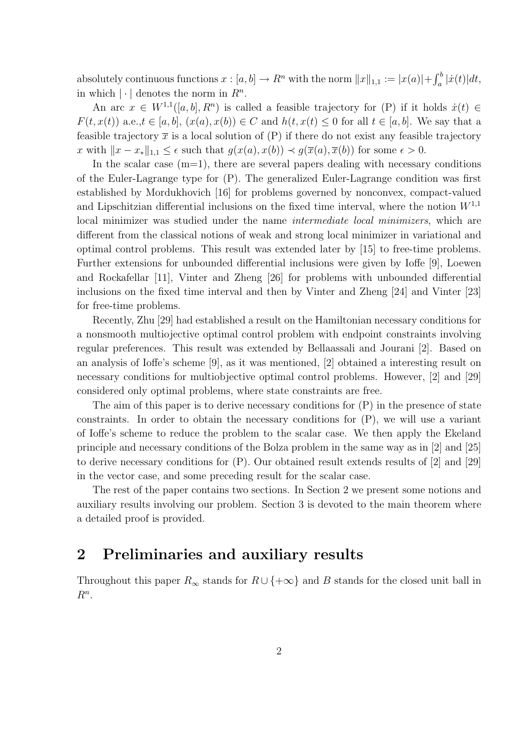absolutely continuous functions  $x : [a, b] \to R^n$  with the norm  $||x||_{1,1} := |x(a)| + \int_a^b |\dot{x}(t)| dt$ , in which  $|\cdot|$  denotes the norm in  $R^n$ .

An arc  $x \in W^{1,1}([a, b], R^n)$  is called a feasible trajectory for (P) if it holds  $\dot{x}(t) \in$  $F(t, x(t))$  a.e., $t \in [a, b]$ ,  $(x(a), x(b)) \in C$  and  $h(t, x(t) \leq 0$  for all  $t \in [a, b]$ . We say that a feasible trajectory  $\bar{x}$  is a local solution of (P) if there do not exist any feasible trajectory x with  $||x - x_*||_{1,1} \leq \epsilon$  such that  $g(x(a), x(b)) \prec g(\overline{x}(a), \overline{x}(b))$  for some  $\epsilon > 0$ .

In the scalar case  $(m=1)$ , there are several papers dealing with necessary conditions of the Euler-Lagrange type for (P). The generalized Euler-Lagrange condition was first established by Mordukhovich [16] for problems governed by nonconvex, compact-valued and Lipschitzian differential inclusions on the fixed time interval, where the notion  $W^{1,1}$ local minimizer was studied under the name *intermediate local minimizers*, which are different from the classical notions of weak and strong local minimizer in variational and optimal control problems. This result was extended later by [15] to free-time problems. Further extensions for unbounded differential inclusions were given by Ioffe [9], Loewen and Rockafellar [11], Vinter and Zheng [26] for problems with unbounded differential inclusions on the fixed time interval and then by Vinter and Zheng [24] and Vinter [23] for free-time problems.

Recently, Zhu [29] had established a result on the Hamiltonian necessary conditions for a nonsmooth multiojective optimal control problem with endpoint constraints involving regular preferences. This result was extended by Bellaassali and Jourani [2]. Based on an analysis of Ioffe's scheme [9], as it was mentioned, [2] obtained a interesting result on necessary conditions for multiobjective optimal control problems. However, [2] and [29] considered only optimal problems, where state constraints are free.

The aim of this paper is to derive necessary conditions for (P) in the presence of state constraints. In order to obtain the necessary conditions for (P), we will use a variant of Ioffe's scheme to reduce the problem to the scalar case. We then apply the Ekeland principle and necessary conditions of the Bolza problem in the same way as in [2] and [25] to derive necessary conditions for (P). Our obtained result extends results of [2] and [29] in the vector case, and some preceding result for the scalar case.

The rest of the paper contains two sections. In Section 2 we present some notions and auxiliary results involving our problem. Section 3 is devoted to the main theorem where a detailed proof is provided.

### 2 Preliminaries and auxiliary results

Throughout this paper  $R_{\infty}$  stands for  $R \cup \{+\infty\}$  and B stands for the closed unit ball in  $R^n$ .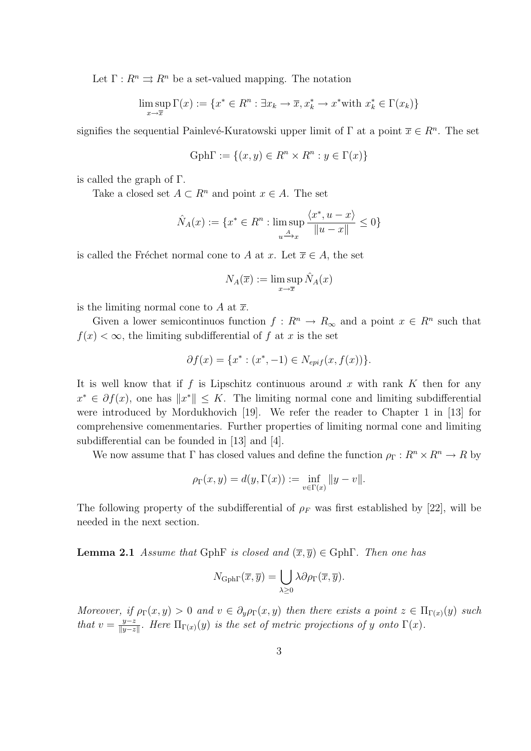Let  $\Gamma: R^n \rightrightarrows R^n$  be a set-valued mapping. The notation

$$
\limsup_{x \to \overline{x}} \Gamma(x) := \{ x^* \in R^n : \exists x_k \to \overline{x}, x_k^* \to x^* \text{with } x_k^* \in \Gamma(x_k) \}
$$

signifies the sequential Painlevé-Kuratowski upper limit of  $\Gamma$  at a point  $\overline{x} \in R^n$ . The set

$$
Gph\Gamma := \{(x, y) \in R^n \times R^n : y \in \Gamma(x)\}\
$$

is called the graph of Γ.

Take a closed set  $A \subset \mathbb{R}^n$  and point  $x \in A$ . The set

$$
\hat{N}_A(x) := \{ x^* \in R^n : \limsup_{u \to x} \frac{\langle x^*, u - x \rangle}{\|u - x\|} \le 0 \}
$$

is called the Fréchet normal cone to A at x. Let  $\overline{x} \in A$ , the set

$$
N_A(\overline{x}) := \limsup_{x \to \overline{x}} \hat{N}_A(x)
$$

is the limiting normal cone to A at  $\overline{x}$ .

Given a lower semicontinuos function  $f: R^n \to R_\infty$  and a point  $x \in R^n$  such that  $f(x) < \infty$ , the limiting subdifferential of f at x is the set

$$
\partial f(x) = \{x^* : (x^*, -1) \in N_{epif}(x, f(x))\}.
$$

It is well know that if f is Lipschitz continuous around x with rank K then for any  $x^* \in \partial f(x)$ , one has  $||x^*|| \leq K$ . The limiting normal cone and limiting subdifferential were introduced by Mordukhovich [19]. We refer the reader to Chapter 1 in [13] for comprehensive comenmentaries. Further properties of limiting normal cone and limiting subdifferential can be founded in [13] and [4].

We now assume that Γ has closed values and define the function  $\rho_{\Gamma}: R^n \times R^n \to R$  by

$$
\rho_{\Gamma}(x, y) = d(y, \Gamma(x)) := \inf_{v \in \Gamma(x)} \|y - v\|.
$$

The following property of the subdifferential of  $\rho_F$  was first established by [22], will be needed in the next section.

**Lemma 2.1** Assume that GphF is closed and  $(\overline{x}, \overline{y}) \in \text{Gph}\Gamma$ . Then one has

$$
N_{\text{Gph}\Gamma}(\overline{x},\overline{y}) = \bigcup_{\lambda \geq 0} \lambda \partial \rho_{\Gamma}(\overline{x},\overline{y}).
$$

Moreover, if  $\rho_{\Gamma}(x, y) > 0$  and  $v \in \partial_y \rho_{\Gamma}(x, y)$  then there exists a point  $z \in \Pi_{\Gamma(x)}(y)$  such that  $v = \frac{y-z}{\|y-z\|}$  $\frac{y-z}{\|y-z\|}$ . Here  $\Pi_{\Gamma(x)}(y)$  is the set of metric projections of y onto  $\Gamma(x)$ .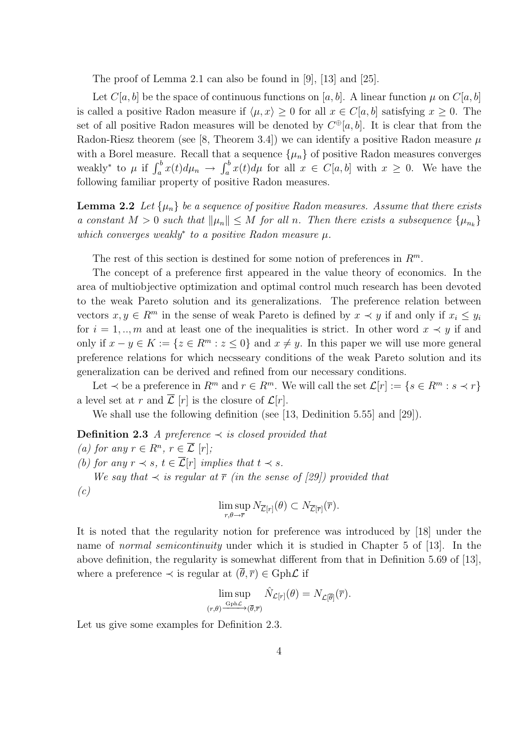The proof of Lemma 2.1 can also be found in [9], [13] and [25].

Let  $C[a, b]$  be the space of continuous functions on [a, b]. A linear function  $\mu$  on  $C[a, b]$ is called a positive Radon measure if  $\langle \mu, x \rangle \geq 0$  for all  $x \in C[a, b]$  satisfying  $x \geq 0$ . The set of all positive Radon measures will be denoted by  $C^{\oplus}[a, b]$ . It is clear that from the Radon-Riesz theorem (see [8, Theorem 3.4]) we can identify a positive Radon measure  $\mu$ with a Borel measure. Recall that a sequence  $\{\mu_n\}$  of positive Radon measures converges weakly<sup>\*</sup> to  $\mu$  if  $\int_a^b x(t)d\mu_n \to \int_a^b x(t)d\mu$  for all  $x \in C[a,b]$  with  $x \geq 0$ . We have the following familiar property of positive Radon measures.

**Lemma 2.2** Let  $\{\mu_n\}$  be a sequence of positive Radon measures. Assume that there exists a constant  $M > 0$  such that  $\|\mu_n\| \leq M$  for all n. Then there exists a subsequence  $\{\mu_{n_k}\}\$ which converges weakly<sup>\*</sup> to a positive Radon measure  $\mu$ .

The rest of this section is destined for some notion of preferences in  $\mathbb{R}^m$ .

The concept of a preference first appeared in the value theory of economics. In the area of multiobjective optimization and optimal control much research has been devoted to the weak Pareto solution and its generalizations. The preference relation between vectors  $x, y \in R^m$  in the sense of weak Pareto is defined by  $x \prec y$  if and only if  $x_i \leq y_i$ for  $i = 1, \ldots, m$  and at least one of the inequalities is strict. In other word  $x \prec y$  if and only if  $x - y \in K := \{z \in R^m : z \le 0\}$  and  $x \ne y$ . In this paper we will use more general preference relations for which necsseary conditions of the weak Pareto solution and its generalization can be derived and refined from our necessary conditions.

Let  $\prec$  be a preference in  $R^m$  and  $r \in R^m$ . We will call the set  $\mathcal{L}[r] := \{ s \in R^m : s \prec r \}$ a level set at r and  $\overline{\mathcal{L}}[r]$  is the closure of  $\mathcal{L}[r]$ .

We shall use the following definition (see [13, Dedinition 5.55] and [29]).

**Definition 2.3** A preference  $\prec$  is closed provided that

(a) for any  $r \in R^n$ ,  $r \in \overline{\mathcal{L}} [r]$ ; (b) for any  $r \prec s$ ,  $t \in \overline{\mathcal{L}}[r]$  implies that  $t \prec s$ . We say that  $\prec$  is regular at  $\overline{r}$  (in the sense of [29]) provided that (c) lim sup  $\max_{r,\theta \to \overline{r}} N_{\overline{\mathcal{L}}[r]}(\theta) \subset N_{\overline{\mathcal{L}}[\overline{r}]}(\overline{r}).$ 

It is noted that the regularity notion for preference was introduced by [18] under the name of normal semicontinuity under which it is studied in Chapter 5 of [13]. In the above definition, the regularity is somewhat different from that in Definition 5.69 of [13], where a preference  $\prec$  is regular at  $(\bar{\theta}, \bar{r}) \in \text{Gph}\mathcal{L}$  if

$$
\limsup_{(r,\theta)\xrightarrow{\mathrm{Gph}\mathcal{L}}(\overline{\theta},\overline{r})}\hat{N}_{\mathcal{L}[r]}(\theta)=N_{\mathcal{L}[\overline{\theta}]}(\overline{r}).
$$

Let us give some examples for Definition 2.3.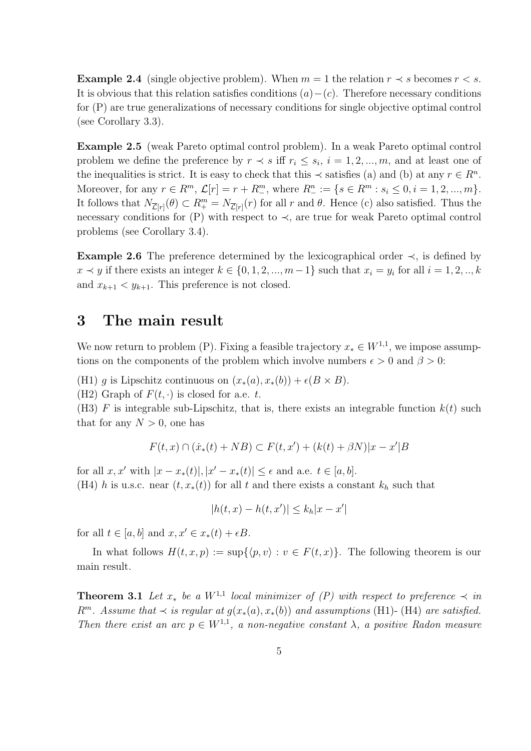**Example 2.4** (single objective problem). When  $m = 1$  the relation  $r \prec s$  becomes  $r < s$ . It is obvious that this relation satisfies conditions  $(a)-(c)$ . Therefore necessary conditions for (P) are true generalizations of necessary conditions for single objective optimal control (see Corollary 3.3).

Example 2.5 (weak Pareto optimal control problem). In a weak Pareto optimal control problem we define the preference by  $r \prec s$  iff  $r_i \leq s_i$ ,  $i = 1, 2, ..., m$ , and at least one of the inequalities is strict. It is easy to check that this  $\prec$  satisfies (a) and (b) at any  $r \in R^n$ . Moreover, for any  $r \in R^m$ ,  $\mathcal{L}[r] = r + R^m$ , where  $R^n_- := \{ s \in R^m : s_i \leq 0, i = 1, 2, ..., m \}.$ It follows that  $N_{\overline{\mathcal{L}}[r]}(\theta) \subset R^m_+ = N_{\overline{\mathcal{L}}[r]}(r)$  for all r and  $\theta$ . Hence (c) also satisfied. Thus the necessary conditions for  $(P)$  with respect to  $\prec$ , are true for weak Pareto optimal control problems (see Corollary 3.4).

Example 2.6 The preference determined by the lexicographical order  $\prec$ , is defined by  $x \prec y$  if there exists an integer  $k \in \{0, 1, 2, ..., m-1\}$  such that  $x_i = y_i$  for all  $i = 1, 2, ..., k$ and  $x_{k+1} < y_{k+1}$ . This preference is not closed.

#### 3 The main result

We now return to problem (P). Fixing a feasible trajectory  $x_* \in W^{1,1}$ , we impose assumptions on the components of the problem which involve numbers  $\epsilon > 0$  and  $\beta > 0$ :

(H1) g is Lipschitz continuous on  $(x_*(a), x_*(b)) + \epsilon (B \times B)$ .

(H2) Graph of  $F(t, \cdot)$  is closed for a.e. t.

(H3) F is integrable sub-Lipschitz, that is, there exists an integrable function  $k(t)$  such that for any  $N > 0$ , one has

$$
F(t,x) \cap (\dot{x}_*(t) + NB) \subset F(t,x') + (k(t) + \beta N)|x - x'|B
$$

for all  $x, x'$  with  $|x - x_*(t)|, |x' - x_*(t)| \le \epsilon$  and a.e.  $t \in [a, b]$ . (H4) h is u.s.c. near  $(t, x_*(t))$  for all t and there exists a constant  $k_h$  such that

 $|h(t, x) - h(t, x')| \leq k_h |x - x'|$ 

for all  $t \in [a, b]$  and  $x, x' \in x_*(t) + \epsilon B$ .

In what follows  $H(t, x, p) := \sup\{\langle p, v\rangle : v \in F(t, x)\}\.$  The following theorem is our main result.

**Theorem 3.1** Let  $x_*$  be a  $W^{1,1}$  local minimizer of  $(P)$  with respect to preference  $\prec$  in  $R^m$ . Assume that  $\prec$  is regular at  $g(x_*(a), x_*(b))$  and assumptions (H1)- (H4) are satisfied. Then there exist an arc  $p \in W^{1,1}$ , a non-negative constant  $\lambda$ , a positive Radon measure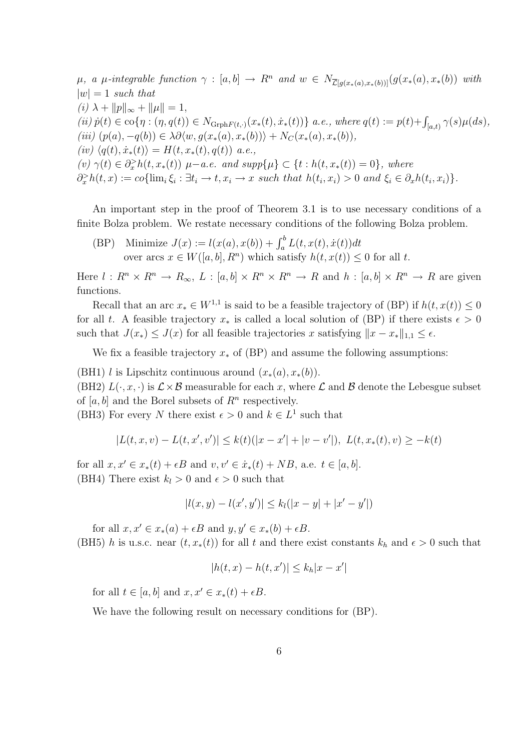$\mu$ , a  $\mu$ -integrable function  $\gamma : [a, b] \to R^n$  and  $w \in N_{\overline{\mathcal{L}}[q(x_*(a), x_*(b))]}(g(x_*(a), x_*(b))$  with  $|w| = 1$  such that (i)  $\lambda + ||p||_{\infty} + ||\mu|| = 1,$  $(iii) \dot{p}(t) \in \text{co}\{\eta : (\eta, q(t)) \in N_{\text{Grph}F(t,\cdot)}(x_*(t), \dot{x}_*(t))\}$  a.e., where  $q(t) := p(t) + \int_{[a,t)} \gamma(s) \mu(ds)$ , (iii)  $(p(a), -q(b)) \in \lambda \partial \langle w, g(x_*(a), x_*(b)) \rangle + N_C(x_*(a), x_*(b)),$  $(iv) \langle q(t), \dot{x}_*(t)\rangle = H(t, x_*(t), q(t))$  a.e., (v)  $\gamma(t) \in \partial_x^> h(t, x_*(t))$   $\mu-a.e.$  and  $supp\{\mu\} \subset \{t : h(t, x_*(t)) = 0\}$ , where  $\partial_x^> h(t,x) := co{ \lim_i \xi_i : \exists t_i \to t, x_i \to x \text{ such that } h(t_i,x_i) > 0 \text{ and } \xi_i \in \partial_x h(t_i,x_i) \}.$ 

An important step in the proof of Theorem 3.1 is to use necessary conditions of a finite Bolza problem. We restate necessary conditions of the following Bolza problem.

(BP) Minimize  $J(x) := l(x(a), x(b)) + \int_a^b L(t, x(t), \dot{x}(t)) dt$ over arcs  $x \in W([a, b], R^n)$  which satisfy  $h(t, x(t)) \leq 0$  for all t.

Here  $l : R^n \times R^n \to R_\infty$ ,  $L : [a, b] \times R^n \times R^n \to R$  and  $h : [a, b] \times R^n \to R$  are given functions.

Recall that an arc  $x_* \in W^{1,1}$  is said to be a feasible trajectory of (BP) if  $h(t, x(t)) \leq 0$ for all t. A feasible trajectory  $x_*$  is called a local solution of (BP) if there exists  $\epsilon > 0$ such that  $J(x_*) \leq J(x)$  for all feasible trajectories x satisfying  $||x - x_*||_{1,1} \leq \epsilon$ .

We fix a feasible trajectory  $x_*$  of (BP) and assume the following assumptions:

(BH1) l is Lipschitz continuous around  $(x_*(a), x_*(b))$ .

(BH2)  $L(\cdot, x, \cdot)$  is  $\mathcal{L} \times \mathcal{B}$  measurable for each x, where  $\mathcal{L}$  and  $\mathcal{B}$  denote the Lebesgue subset of  $[a, b]$  and the Borel subsets of  $R<sup>n</sup>$  respectively.

(BH3) For every N there exist  $\epsilon > 0$  and  $k \in L^1$  such that

$$
|L(t, x, v) - L(t, x', v')| \le k(t)(|x - x'| + |v - v'|), \ L(t, x_*(t), v) \ge -k(t)
$$

for all  $x, x' \in x_*(t) + \epsilon B$  and  $v, v' \in \dot{x}_*(t) + NB$ , a.e.  $t \in [a, b]$ . (BH4) There exist  $k_l > 0$  and  $\epsilon > 0$  such that

$$
|l(x,y) - l(x',y')| \le k_l(|x-y| + |x'-y'|)
$$

for all  $x, x' \in x_*(a) + \epsilon B$  and  $y, y' \in x_*(b) + \epsilon B$ . (BH5) h is u.s.c. near  $(t, x_*(t))$  for all t and there exist constants  $k_h$  and  $\epsilon > 0$  such that

$$
|h(t, x) - h(t, x')| \le k_h |x - x'|
$$

for all  $t \in [a, b]$  and  $x, x' \in x_*(t) + \epsilon B$ .

We have the following result on necessary conditions for (BP).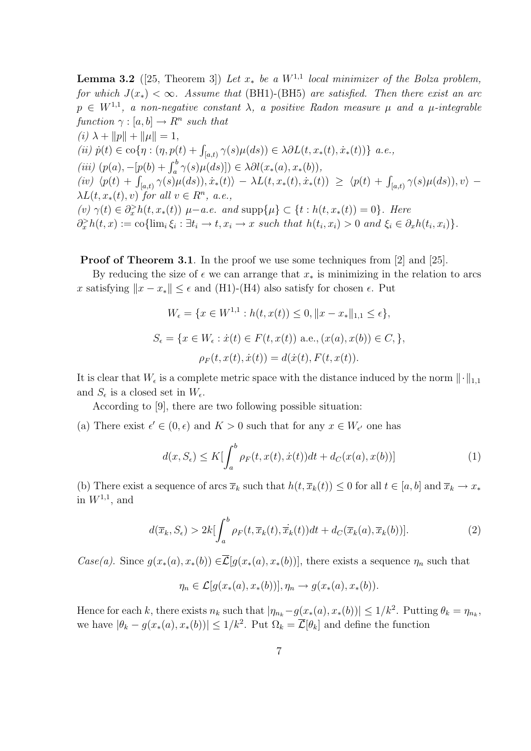**Lemma 3.2** ([25, Theorem 3]) Let  $x_*$  be a  $W^{1,1}$  local minimizer of the Bolza problem, for which  $J(x_*) < \infty$ . Assume that (BH1)-(BH5) are satisfied. Then there exist an arc  $p \in W^{1,1}$ , a non-negative constant  $\lambda$ , a positive Radon measure  $\mu$  and a  $\mu$ -integrable function  $\gamma : [a, b] \to R^n$  such that (i)  $\lambda + ||p|| + ||\mu|| = 1$ , (ii)  $\dot{p}(t) \in \text{co}\{\eta : (\eta, p(t) + \int_{[a,t)} \gamma(s)\mu(ds)) \in \lambda \partial L(t, x_*(t), \dot{x}_*(t))\}\ a.e.,$ (iii)  $(p(a), -[p(b) + \int_a^b \gamma(s)\mu(ds))] \in \lambda \partial l(x_*(a), x_*(b)),$  $(iv) \langle p(t) + \int_{[a,t)} \gamma(s) \mu(ds) \rangle, \dot{x}_*(t) \rangle - \lambda L(t, x_*(t), \dot{x}_*(t)) \ge \langle p(t) + \int_{[a,t)} \gamma(s) \mu(ds) \rangle, v \rangle$  $\lambda L(t, x_*(t), v)$  for all  $v \in R^n$ , a.e., (v)  $\gamma(t) \in \partial_x^> h(t, x_*(t))$   $\mu-a.e.$  and  $\text{supp}\{\mu\} \subset \{t : h(t, x_*(t)) = 0\}.$  Here  $\partial_x^> h(t,x) := \text{co}\{\lim_i \xi_i : \exists t_i \to t, x_i \to x \text{ such that } h(t_i, x_i) > 0 \text{ and } \xi_i \in \partial_x h(t_i, x_i)\}.$ 

**Proof of Theorem 3.1.** In the proof we use some techniques from [2] and [25].

By reducing the size of  $\epsilon$  we can arrange that  $x_*$  is minimizing in the relation to arcs x satisfying  $||x - x_*|| \leq \epsilon$  and (H1)-(H4) also satisfy for chosen  $\epsilon$ . Put

$$
W_{\epsilon} = \{x \in W^{1,1} : h(t, x(t)) \le 0, \|x - x_{*}\|_{1,1} \le \epsilon\},
$$
  

$$
S_{\epsilon} = \{x \in W_{\epsilon} : \dot{x}(t) \in F(t, x(t)) \text{ a.e., } (x(a), x(b)) \in C, \},
$$
  

$$
\rho_F(t, x(t), \dot{x}(t)) = d(\dot{x}(t), F(t, x(t)).
$$

It is clear that  $W_{\epsilon}$  is a complete metric space with the distance induced by the norm  $\|\cdot\|_{1,1}$ and  $S_{\epsilon}$  is a closed set in  $W_{\epsilon}$ .

According to [9], there are two following possible situation:

(a) There exist  $\epsilon' \in (0, \epsilon)$  and  $K > 0$  such that for any  $x \in W_{\epsilon'}$  one has

$$
d(x, S_{\epsilon}) \le K \left[ \int_{a}^{b} \rho_F(t, x(t), \dot{x}(t)) dt + d_C(x(a), x(b)) \right]
$$
 (1)

(b) There exist a sequence of arcs  $\overline{x}_k$  such that  $h(t, \overline{x}_k(t)) \leq 0$  for all  $t \in [a, b]$  and  $\overline{x}_k \to x_*$ in  $W^{1,1}$ , and

$$
d(\overline{x}_k, S_\epsilon) > 2k \left[ \int_a^b \rho_F(t, \overline{x}_k(t), \dot{\overline{x}}_k(t)) dt + d_C(\overline{x}_k(a), \overline{x}_k(b)) \right].
$$
 (2)

Case(a). Since  $g(x_*(a), x_*(b)) \in \overline{\mathcal{L}}[g(x_*(a), x_*(b))]$ , there exists a sequence  $\eta_n$  such that

$$
\eta_n \in \mathcal{L}[g(x_*(a), x_*(b))], \eta_n \to g(x_*(a), x_*(b)).
$$

Hence for each k, there exists  $n_k$  such that  $|\eta_{n_k}-g(x_*(a),x_*(b))| \leq 1/k^2$ . Putting  $\theta_k = \eta_{n_k}$ , we have  $|\theta_k - g(x_*(a), x_*(b))| \leq 1/k^2$ . Put  $\Omega_k = \overline{\mathcal{L}}[\theta_k]$  and define the function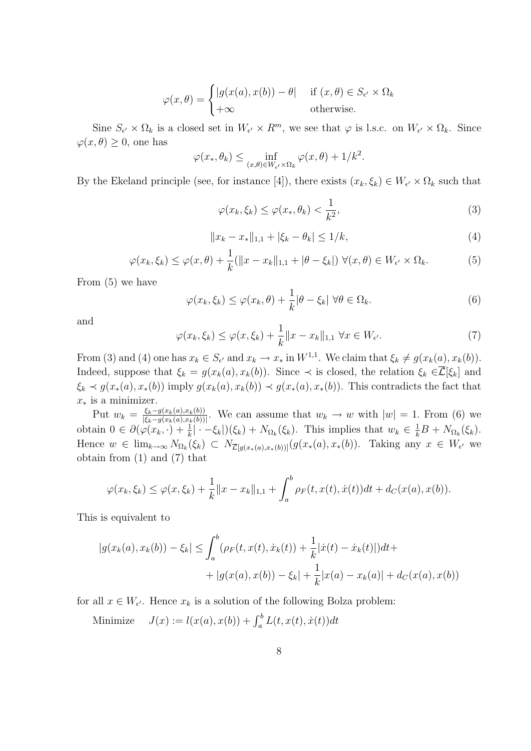$$
\varphi(x,\theta) = \begin{cases} |g(x(a),x(b)) - \theta| & \text{if } (x,\theta) \in S_{\epsilon'} \times \Omega_k \\ +\infty & \text{otherwise.} \end{cases}
$$

Sine  $S_{\epsilon'} \times \Omega_k$  is a closed set in  $W_{\epsilon'} \times R^m$ , we see that  $\varphi$  is l.s.c. on  $W_{\epsilon'} \times \Omega_k$ . Since  $\varphi(x,\theta) \geq 0$ , one has

$$
\varphi(x_*, \theta_k) \leq \inf_{(x,\theta) \in W_{\epsilon'} \times \Omega_k} \varphi(x,\theta) + 1/k^2.
$$

By the Ekeland principle (see, for instance [4]), there exists  $(x_k, \xi_k) \in W_{\epsilon'} \times \Omega_k$  such that

$$
\varphi(x_k, \xi_k) \le \varphi(x_*, \theta_k) < \frac{1}{k^2},\tag{3}
$$

$$
||x_k - x_*||_{1,1} + |\xi_k - \theta_k| \le 1/k,\tag{4}
$$

$$
\varphi(x_k, \xi_k) \le \varphi(x, \theta) + \frac{1}{k} (\|x - x_k\|_{1,1} + |\theta - \xi_k|) \ \forall (x, \theta) \in W_{\epsilon'} \times \Omega_k. \tag{5}
$$

From (5) we have

$$
\varphi(x_k, \xi_k) \le \varphi(x_k, \theta) + \frac{1}{k} |\theta - \xi_k| \ \forall \theta \in \Omega_k.
$$
\n(6)

and

$$
\varphi(x_k, \xi_k) \le \varphi(x, \xi_k) + \frac{1}{k} \|x - x_k\|_{1,1} \ \forall x \in W_{\epsilon'}.
$$
\n<sup>(7)</sup>

From (3) and (4) one has  $x_k \in S_{\epsilon'}$  and  $x_k \to x_*$  in  $W^{1,1}$ . We claim that  $\xi_k \neq g(x_k(a), x_k(b))$ . Indeed, suppose that  $\xi_k = g(x_k(a), x_k(b))$ . Since  $\prec$  is closed, the relation  $\xi_k \in \overline{\mathcal{L}}[\xi_k]$  and  $\xi_k \prec g(x_*(a), x_*(b))$  imply  $g(x_k(a), x_k(b)) \prec g(x_*(a), x_*(b))$ . This contradicts the fact that  $x_*$  is a minimizer.

Put  $w_k = \frac{\xi_k - g(x_k(a), x_k(b))}{|\xi_k - g(x_k(a), x_k(b))|}$  $\frac{\xi_k-g(x_k(a),x_k(b))}{\xi_k-g(x_k(a),x_k(b))}$ . We can assume that  $w_k \to w$  with  $|w|=1$ . From (6) we obtain  $0 \in \partial (\varphi(x_k, \cdot) + \frac{1}{k} | \cdot -\xi_k|)(\xi_k) + N_{\Omega_k}(\xi_k)$ . This implies that  $w_k \in \frac{1}{k}B + N_{\Omega_k}(\xi_k)$ . Hence  $w \in \lim_{k \to \infty} N_{\Omega_k}(\xi_k) \subset N_{\overline{\mathcal{L}}[g(x_*(a),x_*(b))]}(g(x_*(a),x_*(b)).$  Taking any  $x \in W_{\epsilon'}$  we obtain from (1) and (7) that

$$
\varphi(x_k, \xi_k) \leq \varphi(x, \xi_k) + \frac{1}{k} ||x - x_k||_{1,1} + \int_a^b \rho_F(t, x(t), \dot{x}(t)) dt + d_C(x(a), x(b)).
$$

This is equivalent to

$$
|g(x_k(a), x_k(b)) - \xi_k| \le \int_a^b (\rho_F(t, x(t), \dot{x}_k(t)) + \frac{1}{k} |\dot{x}(t) - \dot{x}_k(t)|) dt +
$$
  
+ 
$$
|g(x(a), x(b)) - \xi_k| + \frac{1}{k} |x(a) - x_k(a)| + d_C(x(a), x(b))
$$

for all  $x \in W_{\epsilon'}$ . Hence  $x_k$  is a solution of the following Bolza problem:

Minimize  $J(x) := l(x(a), x(b)) + \int_a^b L(t, x(t), \dot{x}(t)) dt$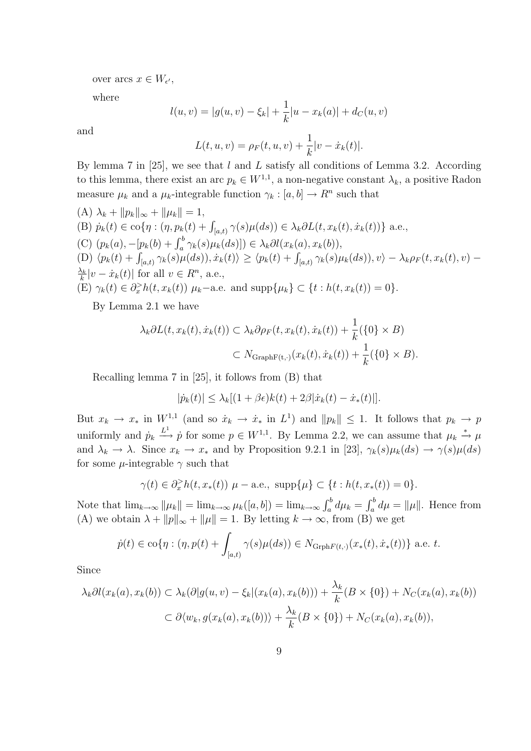over arcs  $x \in W_{\epsilon'}$ ,

where

$$
l(u, v) = |g(u, v) - \xi_k| + \frac{1}{k}|u - x_k(a)| + d_C(u, v)
$$

and

$$
L(t, u, v) = \rho_F(t, u, v) + \frac{1}{k}|v - \dot{x}_k(t)|.
$$

By lemma 7 in [25], we see that  $l$  and  $L$  satisfy all conditions of Lemma 3.2. According to this lemma, there exist an arc  $p_k \in W^{1,1}$ , a non-negative constant  $\lambda_k$ , a positive Radon measure  $\mu_k$  and a  $\mu_k$ -integrable function  $\gamma_k : [a, b] \to R^n$  such that

\n- (A) 
$$
\lambda_k + \|p_k\|_{\infty} + \|\mu_k\| = 1
$$
,
\n- (B)  $\dot{p}_k(t) \in \text{co}\{\eta : (\eta, p_k(t) + \int_{[a,t)} \gamma(s)\mu(ds)) \in \lambda_k \partial L(t, x_k(t), \dot{x}_k(t))\}$  a.e.,
\n- (C)  $(p_k(a), -[p_k(b) + \int_a^b \gamma_k(s)\mu_k(ds)]) \in \lambda_k \partial l(x_k(a), x_k(b)),$
\n- (D)  $\langle p_k(t) + \int_{[a,t)} \gamma_k(s)\mu(ds)\rangle, \dot{x}_k(t) \rangle \geq \langle p_k(t) + \int_{[a,t)} \gamma_k(s)\mu_k(ds)\rangle, v \rangle - \lambda_k \rho_F(t, x_k(t), v) - \frac{\lambda_k}{k}|v - \dot{x}_k(t)|$  for all  $v \in R^n$ , a.e.,
\n- (E)  $\gamma_k(t) \in \partial_x^> h(t, x_k(t)) \mu_k$ —a.e. and  $\text{supp}\{\mu_k\} \subset \{t : h(t, x_k(t)) = 0\}$ .
\n

By Lemma 2.1 we have

$$
\lambda_k \partial L(t, x_k(t), \dot{x}_k(t)) \subset \lambda_k \partial \rho_F(t, x_k(t), \dot{x}_k(t)) + \frac{1}{k} (\{0\} \times B)
$$
  

$$
\subset N_{\text{GraphF}(t, \cdot)}(x_k(t), \dot{x}_k(t)) + \frac{1}{k} (\{0\} \times B).
$$

Recalling lemma 7 in [25], it follows from (B) that

$$
|\dot{p}_k(t)| \leq \lambda_k [(1+\beta\epsilon)k(t) + 2\beta |\dot{x}_k(t) - \dot{x}_*(t)|].
$$

But  $x_k \to x_*$  in  $W^{1,1}$  (and so  $\dot{x}_k \to \dot{x}_*$  in  $L^1$ ) and  $||p_k|| \leq 1$ . It follows that  $p_k \to p$ uniformly and  $\dot{p}_k \stackrel{L^1}{\longrightarrow} \dot{p}$  for some  $p \in W^{1,1}$ . By Lemma 2.2, we can assume that  $\mu_k \stackrel{*}{\rightarrow} \mu$ and  $\lambda_k \to \lambda$ . Since  $x_k \to x_*$  and by Proposition 9.2.1 in [23],  $\gamma_k(s)\mu_k(ds) \to \gamma(s)\mu(ds)$ for some  $\mu$ -integrable  $\gamma$  such that

$$
\gamma(t) \in \partial_x^> h(t, x_*(t)) \mu - \text{a.e., } \text{supp}\{\mu\} \subset \{t : h(t, x_*(t)) = 0\}.
$$

Note that  $\lim_{k\to\infty} ||\mu_k|| = \lim_{k\to\infty} \mu_k([a, b]) = \lim_{k\to\infty} \int_a^b d\mu_k = \int_a^b d\mu = ||\mu||$ . Hence from (A) we obtain  $\lambda + ||p||_{\infty} + ||\mu|| = 1$ . By letting  $k \to \infty$ , from (B) we get

$$
\dot{p}(t) \in \text{co}\{\eta : (\eta, p(t) + \int_{[a,t)} \gamma(s)\mu(ds)) \in N_{\text{Grph}F(t,\cdot)}(x_*(t), \dot{x}_*(t))\}
$$
 a.e. t.

Since

$$
\lambda_k \partial l(x_k(a), x_k(b)) \subset \lambda_k(\partial |g(u, v) - \xi_k|(x_k(a), x_k(b))) + \frac{\lambda_k}{k}(B \times \{0\}) + N_C(x_k(a), x_k(b))
$$
  

$$
\subset \partial \langle w_k, g(x_k(a), x_k(b)) \rangle + \frac{\lambda_k}{k}(B \times \{0\}) + N_C(x_k(a), x_k(b)),
$$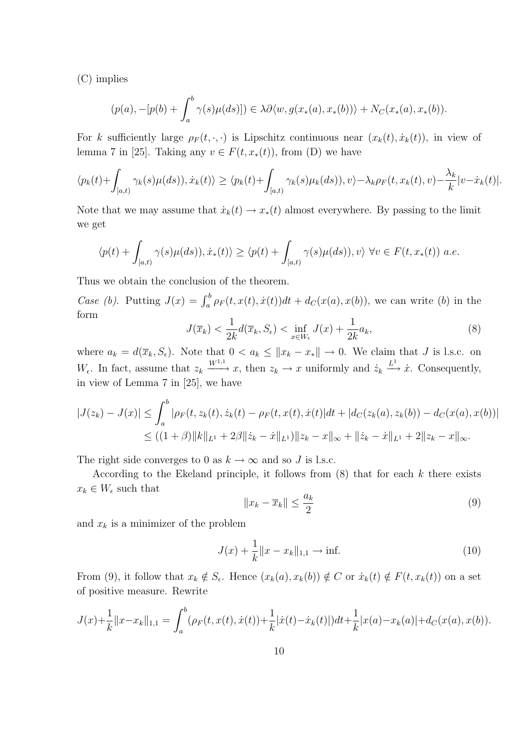(C) implies

$$
(p(a), -[p(b) + \int_a^b \gamma(s)\mu(ds)]) \in \lambda \partial \langle w, g(x_*(a), x_*(b)) \rangle + N_C(x_*(a), x_*(b)).
$$

For k sufficiently large  $\rho_F(t, \cdot, \cdot)$  is Lipschitz continuous near  $(x_k(t), \dot{x}_k(t))$ , in view of lemma 7 in [25]. Taking any  $v \in F(t, x_*(t))$ , from (D) we have

$$
\langle p_k(t) + \int_{[a,t)} \gamma_k(s)\mu(ds), \dot{x}_k(t) \rangle \ge \langle p_k(t) + \int_{[a,t)} \gamma_k(s)\mu_k(ds), v \rangle - \lambda_k \rho_F(t, x_k(t), v) - \frac{\lambda_k}{k} |v - \dot{x}_k(t)|.
$$

Note that we may assume that  $\dot{x}_k(t) \to x_*(t)$  almost everywhere. By passing to the limit we get

$$
\langle p(t) + \int_{[a,t)} \gamma(s) \mu(ds), \dot{x}_*(t) \rangle \ge \langle p(t) + \int_{[a,t)} \gamma(s) \mu(ds), v \rangle \ \forall v \in F(t, x_*(t)) \ a.e.
$$

Thus we obtain the conclusion of the theorem.

Case (b). Putting  $J(x) = \int_a^b \rho_F(t, x(t), \dot{x}(t)) dt + d_C(x(a), x(b))$ , we can write (b) in the form 1

$$
J(\overline{x}_k) < \frac{1}{2k} d(\overline{x}_k, S_\epsilon) < \inf_{x \in W_\epsilon} J(x) + \frac{1}{2k} a_k,\tag{8}
$$

where  $a_k = d(\overline{x}_k, S_\epsilon)$ . Note that  $0 < a_k \leq ||x_k - x_*|| \to 0$ . We claim that J is l.s.c. on  $W_{\epsilon}$ . In fact, assume that  $z_k \xrightarrow{W^{1,1}} x$ , then  $z_k \to x$  uniformly and  $\dot{z}_k \xrightarrow{L^1} \dot{x}$ . Consequently, in view of Lemma 7 in [25], we have

$$
|J(z_k) - J(x)| \leq \int_a^b |\rho_F(t, z_k(t), \dot{z}_k(t) - \rho_F(t, x(t), \dot{x}(t))| dt + |d_C(z_k(a), z_k(b)) - d_C(x(a), x(b))|
$$
  

$$
\leq ((1+\beta) \|k\|_{L^1} + 2\beta \| \dot{z}_k - \dot{x} \|_{L^1}) \|z_k - x\|_{\infty} + \|\dot{z}_k - \dot{x} \|_{L^1} + 2\|z_k - x\|_{\infty}.
$$

The right side converges to 0 as  $k \to \infty$  and so J is l.s.c.

According to the Ekeland principle, it follows from  $(8)$  that for each k there exists  $x_k \in W_{\epsilon}$  such that

$$
||x_k - \overline{x}_k|| \le \frac{a_k}{2} \tag{9}
$$

and  $x_k$  is a minimizer of the problem

$$
J(x) + \frac{1}{k} \|x - x_k\|_{1,1} \to \text{inf.}
$$
 (10)

From (9), it follow that  $x_k \notin S_{\epsilon}$ . Hence  $(x_k(a), x_k(b)) \notin C$  or  $\dot{x}_k(t) \notin F(t, x_k(t))$  on a set of positive measure. Rewrite

$$
J(x) + \frac{1}{k} ||x - x_k||_{1,1} = \int_a^b (\rho_F(t, x(t), \dot{x}(t)) + \frac{1}{k} |\dot{x}(t) - \dot{x}_k(t)|) dt + \frac{1}{k} |x(a) - x_k(a)| + d_C(x(a), x(b)).
$$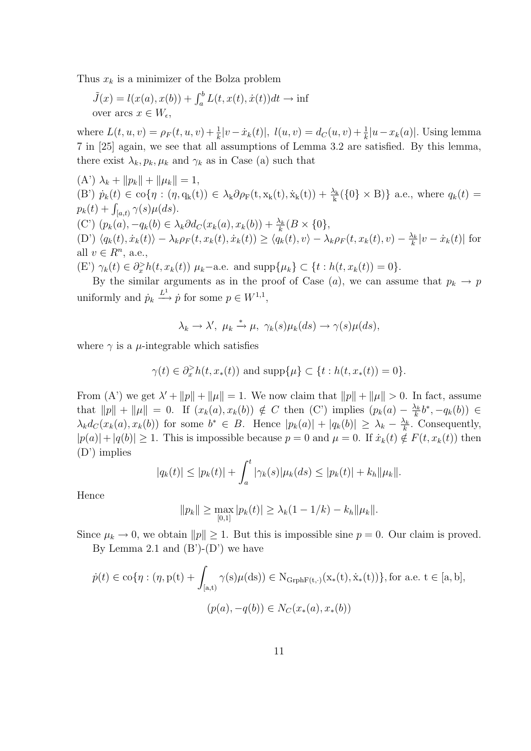Thus  $x_k$  is a minimizer of the Bolza problem

$$
\tilde{J}(x) = l(x(a), x(b)) + \int_a^b L(t, x(t), \dot{x}(t))dt \to \inf
$$
  
over arcs  $x \in W_{\epsilon}$ ,

where  $L(t, u, v) = \rho_F(t, u, v) + \frac{1}{k} |v - \dot{x}_k(t)|$ ,  $l(u, v) = d_C(u, v) + \frac{1}{k} |u - x_k(a)|$ . Using lemma 7 in [25] again, we see that all assumptions of Lemma 3.2 are satisfied. By this lemma, there exist  $\lambda_k, p_k, \mu_k$  and  $\gamma_k$  as in Case (a) such that

 $(A') \lambda_k + ||p_k|| + ||\mu_k|| = 1,$ (B')  $\dot{p}_k(t) \in \text{co}\{\eta : (\eta, q_k(t)) \in \lambda_k \partial \rho_F(t, x_k(t), \dot{x}_k(t)) + \frac{\lambda_k}{k}(\{0\} \times B)\}\)$  a.e., where  $q_k(t) =$  $p_k(t) + \int_{[a,t)} \gamma(s) \mu(ds).$ (C')  $(p_k(a), -q_k(b) \in \lambda_k \partial d_C(x_k(a), x_k(b)) + \frac{\lambda_k}{k} (B \times \{0\},$  $\langle D' \rangle \langle q_k(t), \dot{x}_k(t) \rangle - \lambda_k \rho_F(t, x_k(t), \dot{x}_k(t)) \geq \langle q_k(t), v \rangle - \lambda_k \rho_F(t, x_k(t), v) - \frac{\lambda_k}{k}$  $\frac{\lambda_k}{k}|v - \dot{x}_k(t)|$  for all  $v \in R^n$ , a.e., (E')  $\gamma_k(t) \in \partial_x^> h(t, x_k(t))$   $\mu_k$ -a.e. and supp $\{\mu_k\} \subset \{t : h(t, x_k(t)) = 0\}.$ 

By the similar arguments as in the proof of Case (a), we can assume that  $p_k \to p$ 

uniformly and  $\dot{p}_k \stackrel{L^1}{\longrightarrow} \dot{p}$  for some  $p \in W^{1,1}$ ,

$$
\lambda_k \to \lambda', \ \mu_k \xrightarrow{\ast} \mu, \ \gamma_k(s)\mu_k(ds) \to \gamma(s)\mu(ds),
$$

where  $\gamma$  is a  $\mu$ -integrable which satisfies

$$
\gamma(t)\in \partial_x^>h(t,x_*(t))\text{ and }\mathrm{supp}\{\mu\}\subset \{t: h(t,x_*(t))=0\}.
$$

From (A') we get  $\lambda' + ||p|| + ||\mu|| = 1$ . We now claim that  $||p|| + ||\mu|| > 0$ . In fact, assume that  $||p|| + ||\mu|| = 0$ . If  $(x_k(a), x_k(b)) \notin C$  then (C') implies  $(p_k(a) - \frac{\lambda_k}{k})$  $\frac{\lambda_k}{k}b^*, -q_k(b)) \in$  $\lambda_k d_C(x_k(a), x_k(b))$  for some  $b^* \in B$ . Hence  $|p_k(a)| + |q_k(b)| \geq \lambda_k - \frac{\lambda_k}{k}$  $\frac{\lambda_k}{k}$ . Consequently,  $|p(a)|+|q(b)|\geq 1$ . This is impossible because  $p=0$  and  $\mu=0$ . If  $\dot{x}_k(t)\notin F(t, x_k(t))$  then (D') implies

$$
|q_k(t)| \le |p_k(t)| + \int_a^t |\gamma_k(s)| \mu_k(ds) \le |p_k(t)| + k_h \|\mu_k\|.
$$

Hence

$$
||p_k|| \ge \max_{[0,1]} |p_k(t)| \ge \lambda_k (1 - 1/k) - k_h ||\mu_k||.
$$

Since  $\mu_k \to 0$ , we obtain  $||p|| \geq 1$ . But this is impossible sine  $p = 0$ . Our claim is proved. By Lemma 2.1 and  $(B')-(D')$  we have

$$
\dot{p}(t) \in \text{co}\{\eta : (\eta, p(t) + \int_{[a,t)} \gamma(s)\mu(ds)) \in N_{\text{GrphF}(t,\cdot)}(x_*(t), \dot{x}_*(t))\}, \text{for a.e. } t \in [a, b],
$$
  

$$
(p(a), -q(b)) \in N_C(x_*(a), x_*(b))
$$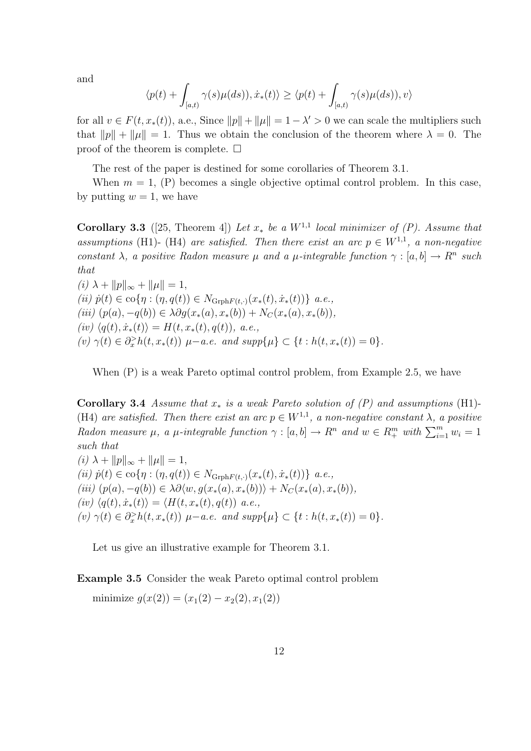and

$$
\langle p(t) + \int_{[a,t)} \gamma(s)\mu(ds)), \dot{x}_*(t) \rangle \ge \langle p(t) + \int_{[a,t)} \gamma(s)\mu(ds)), v \rangle
$$

for all  $v \in F(t, x_*(t))$ , a.e., Since  $||p|| + ||\mu|| = 1 - \lambda' > 0$  we can scale the multipliers such that  $||p|| + ||\mu|| = 1$ . Thus we obtain the conclusion of the theorem where  $\lambda = 0$ . The proof of the theorem is complete.  $\Box$ 

The rest of the paper is destined for some corollaries of Theorem 3.1.

When  $m = 1$ , (P) becomes a single objective optimal control problem. In this case, by putting  $w = 1$ , we have

**Corollary 3.3** ([25, Theorem 4]) Let  $x_*$  be a  $W^{1,1}$  local minimizer of (P). Assume that assumptions (H1)- (H4) are satisfied. Then there exist an arc  $p \in W^{1,1}$ , a non-negative constant  $\lambda$ , a positive Radon measure  $\mu$  and a  $\mu$ -integrable function  $\gamma : [a, b] \to \mathbb{R}^n$  such that

 $(i) \lambda + ||p||_{\infty} + ||\mu|| = 1,$ (ii)  $\dot{p}(t) \in \text{co}\{\eta : (\eta, q(t)) \in N_{\text{Grph}F(t,\cdot)}(x_*(t), \dot{x}_*(t))\}\ a.e.,$ (iii)  $(p(a), -q(b)) \in \lambda \partial g(x_*(a), x_*(b)) + N_C(x_*(a), x_*(b)),$  $(iv) \langle q(t), \dot{x}_*(t) \rangle = H(t, x_*(t), q(t)), \ a.e.,$ (v)  $\gamma(t) \in \partial_x^> h(t, x_*(t)) \mu-a.e.$  and  $supp\{\mu\} \subset \{t : h(t, x_*(t)) = 0\}.$ 

When (P) is a weak Pareto optimal control problem, from Example 2.5, we have

Corollary 3.4 Assume that  $x_*$  is a weak Pareto solution of  $(P)$  and assumptions (H1)-(H4) are satisfied. Then there exist an arc  $p \in W^{1,1}$ , a non-negative constant  $\lambda$ , a positive Radon measure  $\mu$ , a  $\mu$ -integrable function  $\gamma : [a, b] \to R^n$  and  $w \in R^m_+$  with  $\sum_{i=1}^m w_i = 1$ such that

(*i*)  $\lambda + ||p||_{\infty} + ||\mu|| = 1,$ (ii)  $\dot{p}(t) \in \text{co}\{\eta : (\eta, q(t)) \in N_{\text{Grph}F(t,\cdot)}(x_*(t), \dot{x}_*(t))\}\ a.e.,$ (iii)  $(p(a), -q(b)) \in \lambda \partial \langle w, g(x_*(a), x_*(b)) \rangle + N_C(x_*(a), x_*(b)),$  $(iv) \langle q(t), \dot{x}_*(t)\rangle = \langle H(t, x_*(t), q(t)) \rangle a.e.,$  $(v) \gamma(t) \in \partial_x^> h(t, x_*(t)) \mu-a.e.$  and  $supp\{\mu\} \subset \{t : h(t, x_*(t)) = 0\}.$ 

Let us give an illustrative example for Theorem 3.1.

Example 3.5 Consider the weak Pareto optimal control problem

minimize  $q(x(2)) = (x_1(2) - x_2(2), x_1(2))$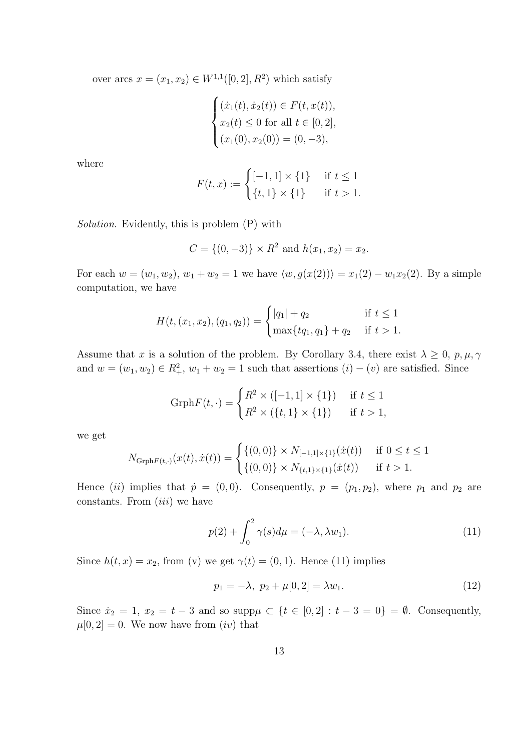over arcs  $x = (x_1, x_2) \in W^{1,1}([0, 2], R^2)$  which satisfy

$$
\begin{cases}\n(\dot{x}_1(t), \dot{x}_2(t)) \in F(t, x(t)), \\
x_2(t) \le 0 \text{ for all } t \in [0, 2], \\
(x_1(0), x_2(0)) = (0, -3),\n\end{cases}
$$

where

$$
F(t, x) := \begin{cases} [-1, 1] \times \{1\} & \text{if } t \le 1\\ \{t, 1\} \times \{1\} & \text{if } t > 1. \end{cases}
$$

Solution. Evidently, this is problem (P) with

$$
C = \{(0, -3)\} \times R^2 \text{ and } h(x_1, x_2) = x_2.
$$

For each  $w = (w_1, w_2), w_1 + w_2 = 1$  we have  $\langle w, g(x(2)) \rangle = x_1(2) - w_1x_2(2)$ . By a simple computation, we have

$$
H(t, (x_1, x_2), (q_1, q_2)) = \begin{cases} |q_1| + q_2 & \text{if } t \le 1\\ \max\{tq_1, q_1\} + q_2 & \text{if } t > 1. \end{cases}
$$

Assume that x is a solution of the problem. By Corollary 3.4, there exist  $\lambda \geq 0$ ,  $p, \mu, \gamma$ and  $w = (w_1, w_2) \in R_+^2$ ,  $w_1 + w_2 = 1$  such that assertions  $(i) - (v)$  are satisfied. Since

$$
\text{Grph}F(t, \cdot) = \begin{cases} R^2 \times ([-1, 1] \times \{1\}) & \text{if } t \le 1 \\ R^2 \times (\{t, 1\} \times \{1\}) & \text{if } t > 1, \end{cases}
$$

we get

$$
N_{\text{Grph}F(t,\cdot)}(x(t),\dot{x}(t)) = \begin{cases} \{(0,0)\} \times N_{[-1,1] \times \{1\}}(\dot{x}(t)) & \text{if } 0 \le t \le 1\\ \{(0,0)\} \times N_{\{t,1\} \times \{1\}}(\dot{x}(t)) & \text{if } t > 1. \end{cases}
$$

Hence (ii) implies that  $\dot{p} = (0, 0)$ . Consequently,  $p = (p_1, p_2)$ , where  $p_1$  and  $p_2$  are constants. From  $(iii)$  we have

$$
p(2) + \int_0^2 \gamma(s)d\mu = (-\lambda, \lambda w_1). \tag{11}
$$

Since  $h(t, x) = x_2$ , from (v) we get  $\gamma(t) = (0, 1)$ . Hence (11) implies

$$
p_1 = -\lambda, \ p_2 + \mu[0, 2] = \lambda w_1. \tag{12}
$$

Since  $\dot{x}_2 = 1, x_2 = t - 3$  and so supp $\mu \subset \{t \in [0, 2] : t - 3 = 0\} = \emptyset$ . Consequently,  $\mu[0, 2] = 0$ . We now have from  $(iv)$  that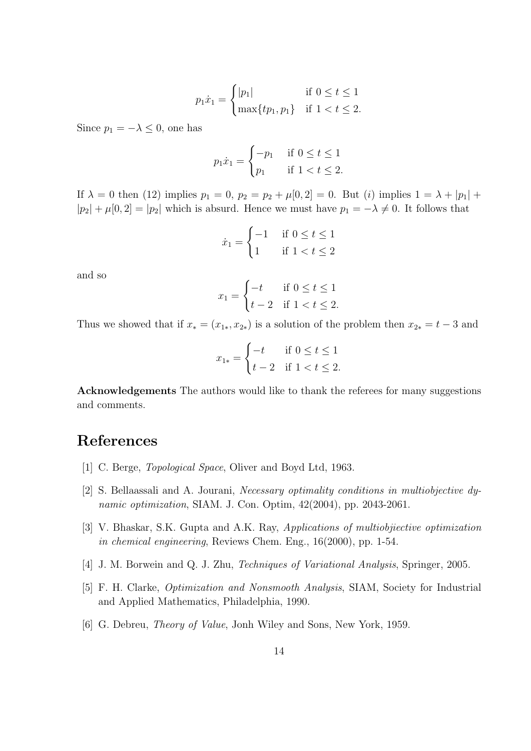$$
p_1 \dot{x}_1 = \begin{cases} |p_1| & \text{if } 0 \le t \le 1\\ \max\{tp_1, p_1\} & \text{if } 1 < t \le 2. \end{cases}
$$

Since  $p_1 = -\lambda \leq 0$ , one has

$$
p_1 \dot{x}_1 = \begin{cases} -p_1 & \text{if } 0 \le t \le 1\\ p_1 & \text{if } 1 < t \le 2. \end{cases}
$$

If  $\lambda = 0$  then (12) implies  $p_1 = 0$ ,  $p_2 = p_2 + \mu[0, 2] = 0$ . But (i) implies  $1 = \lambda + |p_1| +$  $|p_2| + \mu[0,2] = |p_2|$  which is absurd. Hence we must have  $p_1 = -\lambda \neq 0$ . It follows that

$$
\dot{x}_1 = \begin{cases} -1 & \text{if } 0 \le t \le 1 \\ 1 & \text{if } 1 < t \le 2 \end{cases}
$$

and so

$$
x_1 = \begin{cases} -t & \text{if } 0 \le t \le 1 \\ t-2 & \text{if } 1 < t \le 2. \end{cases}
$$

Thus we showed that if  $x_*(x_1, x_2)$  is a solution of the problem then  $x_{2*} = t - 3$  and

$$
x_{1*} = \begin{cases} -t & \text{if } 0 \le t \le 1 \\ t-2 & \text{if } 1 < t \le 2. \end{cases}
$$

Acknowledgements The authors would like to thank the referees for many suggestions and comments.

#### References

- [1] C. Berge, Topological Space, Oliver and Boyd Ltd, 1963.
- [2] S. Bellaassali and A. Jourani, Necessary optimality conditions in multiobjective dynamic optimization, SIAM. J. Con. Optim, 42(2004), pp. 2043-2061.
- [3] V. Bhaskar, S.K. Gupta and A.K. Ray, Applications of multiobjiective optimization in chemical engineering, Reviews Chem. Eng., 16(2000), pp. 1-54.
- [4] J. M. Borwein and Q. J. Zhu, Techniques of Variational Analysis, Springer, 2005.
- [5] F. H. Clarke, Optimization and Nonsmooth Analysis, SIAM, Society for Industrial and Applied Mathematics, Philadelphia, 1990.
- [6] G. Debreu, Theory of Value, Jonh Wiley and Sons, New York, 1959.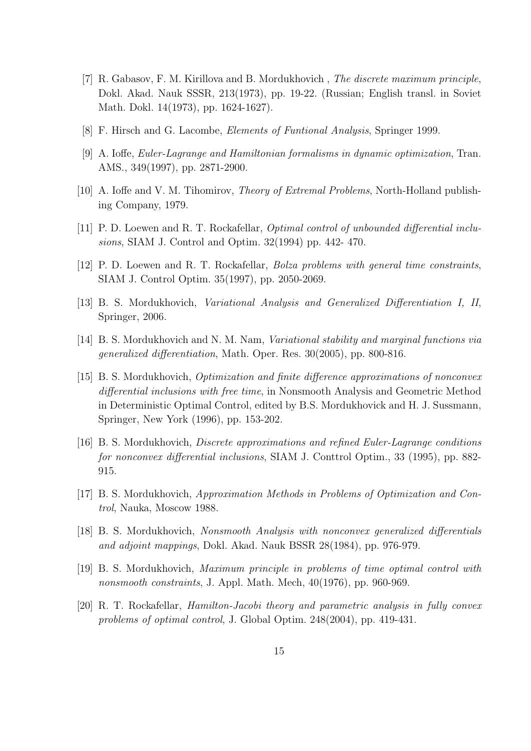- [7] R. Gabasov, F. M. Kirillova and B. Mordukhovich , The discrete maximum principle, Dokl. Akad. Nauk SSSR, 213(1973), pp. 19-22. (Russian; English transl. in Soviet Math. Dokl. 14(1973), pp. 1624-1627).
- [8] F. Hirsch and G. Lacombe, Elements of Funtional Analysis, Springer 1999.
- [9] A. Ioffe, Euler-Lagrange and Hamiltonian formalisms in dynamic optimization, Tran. AMS., 349(1997), pp. 2871-2900.
- [10] A. Ioffe and V. M. Tihomirov, *Theory of Extremal Problems*, North-Holland publishing Company, 1979.
- [11] P. D. Loewen and R. T. Rockafellar, Optimal control of unbounded differential inclusions, SIAM J. Control and Optim. 32(1994) pp. 442- 470.
- [12] P. D. Loewen and R. T. Rockafellar, Bolza problems with general time constraints, SIAM J. Control Optim. 35(1997), pp. 2050-2069.
- [13] B. S. Mordukhovich, Variational Analysis and Generalized Differentiation I, II, Springer, 2006.
- [14] B. S. Mordukhovich and N. M. Nam, Variational stability and marginal functions via generalized differentiation, Math. Oper. Res. 30(2005), pp. 800-816.
- [15] B. S. Mordukhovich, Optimization and finite difference approximations of nonconvex differential inclusions with free time, in Nonsmooth Analysis and Geometric Method in Deterministic Optimal Control, edited by B.S. Mordukhovick and H. J. Sussmann, Springer, New York (1996), pp. 153-202.
- [16] B. S. Mordukhovich, Discrete approximations and refined Euler-Lagrange conditions for nonconvex differential inclusions, SIAM J. Conttrol Optim., 33 (1995), pp. 882- 915.
- [17] B. S. Mordukhovich, Approximation Methods in Problems of Optimization and Control, Nauka, Moscow 1988.
- [18] B. S. Mordukhovich, Nonsmooth Analysis with nonconvex generalized differentials and adjoint mappings, Dokl. Akad. Nauk BSSR 28(1984), pp. 976-979.
- [19] B. S. Mordukhovich, Maximum principle in problems of time optimal control with nonsmooth constraints, J. Appl. Math. Mech, 40(1976), pp. 960-969.
- [20] R. T. Rockafellar, Hamilton-Jacobi theory and parametric analysis in fully convex problems of optimal control, J. Global Optim. 248(2004), pp. 419-431.